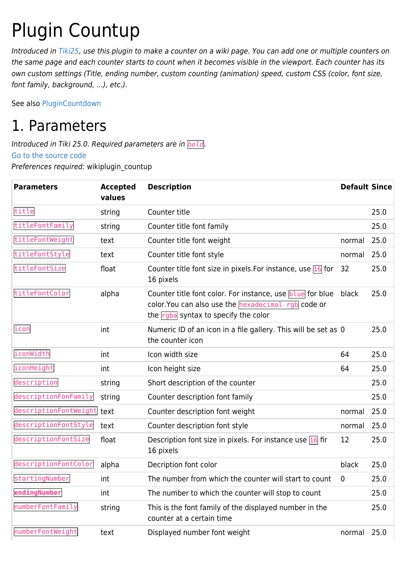# Plugin Countup

Introduced in [Tiki25,](https://doc.tiki.org/Tiki25) use this plugin to make a counter on a wiki page. You can add one or multiple counters on the same page and each counter starts to count when it becomes visible in the viewport. Each counter has its own custom settings (Title, ending number, custom counting (animation) speed, custom CSS (color, font size, font family, background, ...), etc.).

See also [PluginCountdown](https://doc.tiki.org/PluginCountdown)

## 1. Parameters

Introduced in Tiki 25.0. Required parameters are in *bold*. [Go to the source code](https://gitlab.com/tikiwiki/tiki/-/blob/master/lib/wiki-plugins/wikiplugin_countup.php) Preferences required: wikiplugin\_countup

| <b>Parameters</b>     | <b>Accepted</b><br>values | <b>Description</b>                                                                                                                                       | <b>Default Since</b> |      |
|-----------------------|---------------------------|----------------------------------------------------------------------------------------------------------------------------------------------------------|----------------------|------|
| title                 | string                    | Counter title                                                                                                                                            |                      | 25.0 |
| titleFontFamily       | string                    | Counter title font family                                                                                                                                |                      | 25.0 |
| titleFontWeight       | text                      | Counter title font weight                                                                                                                                | normal               | 25.0 |
| titleFontStyle        | text                      | Counter title font style                                                                                                                                 | normal               | 25.0 |
| titleFontSize         | float                     | Counter title font size in pixels. For instance, use $\boxed{16}$ for<br>16 pixels                                                                       | 32                   | 25.0 |
| titleFontColor        | alpha                     | Counter title font color. For instance, use blue for blue<br>color. You can also use the hexadecimal rgb code or<br>the rgba syntax to specify the color | black                | 25.0 |
| icon                  | int                       | Numeric ID of an icon in a file gallery. This will be set as 0<br>the counter icon                                                                       |                      | 25.0 |
| iconWidth             | int                       | Icon width size                                                                                                                                          | 64                   | 25.0 |
| iconHeight            | int                       | Icon height size                                                                                                                                         | 64                   | 25.0 |
| description           | string                    | Short description of the counter                                                                                                                         |                      | 25.0 |
| descriptionFonFamily  | string                    | Counter description font family                                                                                                                          |                      | 25.0 |
| descriptionFontWeight | text                      | Counter description font weight                                                                                                                          | normal               | 25.0 |
| descriptionFontStyle  | text                      | Counter description font style                                                                                                                           | normal               | 25.0 |
| descriptionFontSize   | float                     | Description font size in pixels. For instance use $\overline{16}$ fir<br>16 pixels                                                                       | 12                   | 25.0 |
| descriptionFontColor  | alpha                     | Decription font color                                                                                                                                    | black                | 25.0 |
| startingNumber        | int                       | The number from which the counter will start to count                                                                                                    | 0                    | 25.0 |
| endingNumber          | int                       | The number to which the counter will stop to count                                                                                                       |                      | 25.0 |
| numberFontFamily      | string                    | This is the font family of the displayed number in the<br>counter at a certain time                                                                      |                      | 25.0 |
| numberFontWeight      | text                      | Displayed number font weight                                                                                                                             | normal               | 25.0 |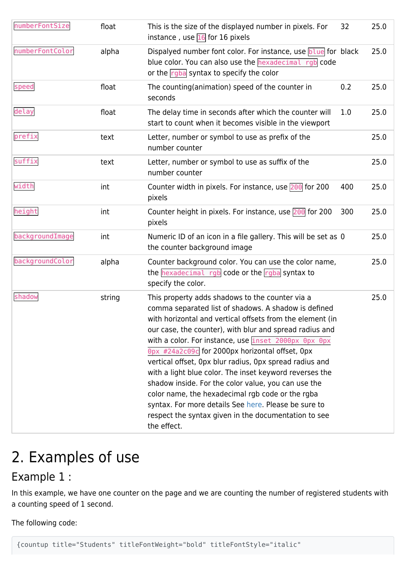| numberFontSize  | float  | This is the size of the displayed number in pixels. For<br>instance, use $\overline{16}$ for 16 pixels                                                                                                                                                                                                                                                                                                                                                                                                                                                                                                                                                                                                     | 32  | 25.0 |
|-----------------|--------|------------------------------------------------------------------------------------------------------------------------------------------------------------------------------------------------------------------------------------------------------------------------------------------------------------------------------------------------------------------------------------------------------------------------------------------------------------------------------------------------------------------------------------------------------------------------------------------------------------------------------------------------------------------------------------------------------------|-----|------|
| numberFontColor | alpha  | Dispalyed number font color. For instance, use blue for black<br>blue color. You can also use the hexadecimal rgb code<br>or the rgba syntax to specify the color                                                                                                                                                                                                                                                                                                                                                                                                                                                                                                                                          |     | 25.0 |
| speed           | float  | The counting(animation) speed of the counter in<br>seconds                                                                                                                                                                                                                                                                                                                                                                                                                                                                                                                                                                                                                                                 | 0.2 | 25.0 |
| delay           | float  | The delay time in seconds after which the counter will<br>start to count when it becomes visible in the viewport                                                                                                                                                                                                                                                                                                                                                                                                                                                                                                                                                                                           | 1.0 | 25.0 |
| prefix          | text   | Letter, number or symbol to use as prefix of the<br>number counter                                                                                                                                                                                                                                                                                                                                                                                                                                                                                                                                                                                                                                         |     | 25.0 |
| suffix          | text   | Letter, number or symbol to use as suffix of the<br>number counter                                                                                                                                                                                                                                                                                                                                                                                                                                                                                                                                                                                                                                         |     | 25.0 |
| width           | int    | Counter width in pixels. For instance, use 200 for 200<br>pixels                                                                                                                                                                                                                                                                                                                                                                                                                                                                                                                                                                                                                                           | 400 | 25.0 |
| height          | int    | Counter height in pixels. For instance, use $200$ for 200<br>pixels                                                                                                                                                                                                                                                                                                                                                                                                                                                                                                                                                                                                                                        | 300 | 25.0 |
| backgroundImage | int    | Numeric ID of an icon in a file gallery. This will be set as 0<br>the counter background image                                                                                                                                                                                                                                                                                                                                                                                                                                                                                                                                                                                                             |     | 25.0 |
| backgroundColor | alpha  | Counter background color. You can use the color name,<br>the hexadecimal rgb code or the rgba syntax to<br>specify the color.                                                                                                                                                                                                                                                                                                                                                                                                                                                                                                                                                                              |     | 25.0 |
| shadow          | string | This property adds shadows to the counter via a<br>comma separated list of shadows. A shadow is defined<br>with horizontal and vertical offsets from the element (in<br>our case, the counter), with blur and spread radius and<br>with a color. For instance, use inset 2000px 0px 0px<br>Opx #24a2c09c for 2000px horizontal offset, 0px<br>vertical offset, Opx blur radius, Opx spread radius and<br>with a light blue color. The inset keyword reverses the<br>shadow inside. For the color value, you can use the<br>color name, the hexadecimal rgb code or the rgba<br>syntax. For more details See here. Please be sure to<br>respect the syntax given in the documentation to see<br>the effect. |     | 25.0 |

## 2. Examples of use

## Example 1 :

In this example, we have one counter on the page and we are counting the number of registered students with a counting speed of 1 second.

The following code:

{countup title="Students" titleFontWeight="bold" titleFontStyle="italic"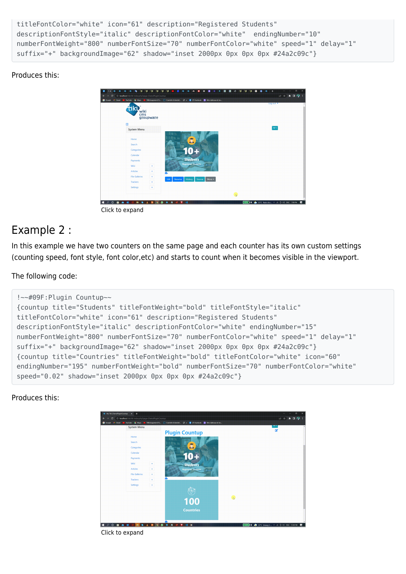```
titleFontColor="white" icon="61" description="Registered Students"
descriptionFontStyle="italic" descriptionFontColor="white" endingNumber="10"
numberFontWeight="800" numberFontSize="70" numberFontColor="white" speed="1" delay="1"
suffix="+" backgroundImage="62" shadow="inset 2000px 0px 0px 0px #24a2c09c"}
```
#### Produces this:



Click to expand

### Example 2 :

In this example we have two counters on the same page and each counter has its own custom settings (counting speed, font style, font color,etc) and starts to count when it becomes visible in the viewport.

#### The following code:

```
!~~#09F:Plugin Countup~~
{countup title="Students" titleFontWeight="bold" titleFontStyle="italic"
titleFontColor="white" icon="61" description="Registered Students"
descriptionFontStyle="italic" descriptionFontColor="white" endingNumber="15"
numberFontWeight="800" numberFontSize="70" numberFontColor="white" speed="1" delay="1"
suffix="+" backgroundImage="62" shadow="inset 2000px 0px 0px 0px #24a2c09c"}
{countup title="Countries" titleFontWeight="bold" titleFontColor="white" icon="60"
endingNumber="195" numberFontWeight="bold" numberFontSize="70" numberFontColor="white"
speed="0.02" shadow="inset 2000px 0px 0px 0px #24a2c09c"}
```
#### Produces this:



Click to expand